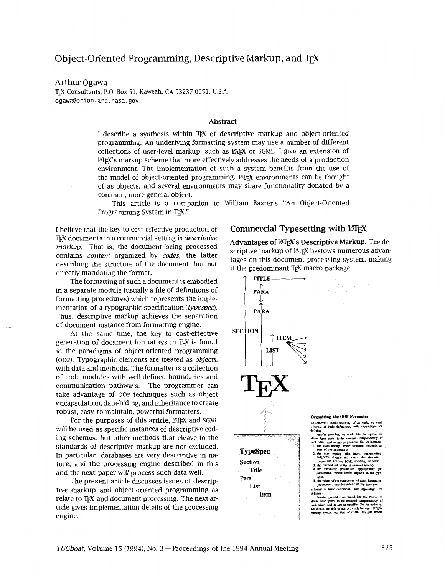# Object-Oriented Programming, Descriptive Markup, and TEX

## Arthur Ogawa

TEX Consultants, P.O. Box 51, Kaweah, CA 93237-0051, U.S.A. ogawa@orion.arc.nasa.gov

### **Abstract**

I describe a synthesis within TEX of descriptive markup and object-oriented programming. **An** underlying formatting system may use a number of different collections of user-level markup, such as LATEX or SGML. I give an extension of WX's markup scheme that more effectively addresses the needs of a production environment. The implementation of such a system benefits from the use of the model of object-oriented programming. LATEX environments can be thought of as objects, and several environments may share functionality donated by a common, more general object.

Ths article is a companion to William Baxter's **"An** Object-Oriented Programming System in T<sub>F</sub>X."

I believe that the key to cost-effective production of T<sub>EX</sub> documents in a commercial setting is *descriptive markup.* That is, the document being processed contains content organized by codes, the latter describing the structure of the document, but not directly mandating the format.

The formatting of such a document is embodied in a separate module (usually a file of definitions of formatting procedures) which represents the implementation of a typographic specification (typespec). Thus, descriptive markup achieves the separation of document instance from formatting engine.

At the same time, the key to cost-effective generation of document formatters in TEX is found in the paradigms of object-oriented programming (OOP). Typographic elements are treated as objects, with data and methods. The formatter is a collection of code modules with well-defined boundaries and communication pathways. The programmer can take advantage of oop techniques such as object encapsulation, data-hiding, and inheritance to create robust, easy-to-maintain, powerful formatters.

For the purposes of this article, LATEX and SGML will be used as specific instances of descriptive coding schemes, but other methods that cleave to the standards of descriptive markup are not excluded. In particular, databases are very descriptive in nature, and the processing engine described in this and the next paper will process such data well.

The present article discusses issues of descriptive markup and object-oriented programming as relate to TEX and document processing. The next article gives implementation details of the processing engine.

## **Commercial Typesetting with LATEX**

**Advantages of IAT<sub>F</sub>X's Descriptive Markup.** The descriptive markup of LATEX bestows numerous advantages on this document processing system, making

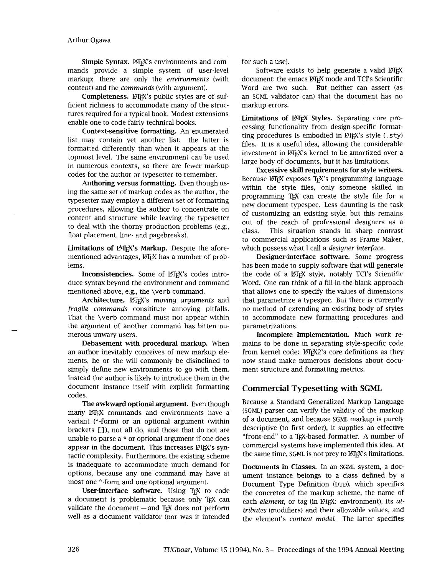**Simple Syntax.** *LATEX's* environments and com- for such a use). mands provide a simple system of user-level Software exists to help generate a valid LATEX markup; there are only the *environments* (with document; the emacs LeT<sub>E</sub>X mode and TCI's Scientific content) and the *commands* (with argument). Word are two such. But neither can assert (as

ficient richness to accommodate many of the struc- markup errors. tures required for a typical book. Modest extensions enable one to code fairly technical books.

**Context-sensitive formatting.** An enumerated list may contain yet another list: the latter is formatted differently than when it appears at the topmost level. The same environment can be used in numerous contexts, so there are fewer markup codes for the author or typesetter to remember.

**Authoring versus formatting.** Even though using the same set of markup codes as the author, the typesetter may employ a different set of formatting procedures, allowing the author to concentrate on content and structure while leaving the typesetter to deal with the thorny production problems (e.g., float placement, line- and pagebreaks).

Limitations of LATEX's Markup. Despite the aforementioned advantages, LATEX has a number of problems.

**Inconsistencies.** Some of LATEX's codes introduce syntax beyond the environment and command mentioned above, e.g., the **\verb** command.

Architecture. **LATEX's** moving arguments and *fragile commands* consititute annoying pitfalls. That the **\verb** command must not appear within the argument of another command has bitten numerous unwary users.

**Debasement with procedural markup.** When an author inevitably conceives of new markup elements, he or she will commonly be disinclined to simply define new environments to go with them. Instead the author is likely to introduce them in the document instance itself with explicit formatting codes.

many ET<sub>EX</sub> commands and environments have a (SGML) parser can verify the validity of the markup<br>variant (\*-form) or an ontional argument (within of a document, and because SGML markup is purely variant (\*-form) or an optional argument (within brackets []), not all do, and those that do not are descriptive (to first order), it supplies an effective unable to parse a \* or optional argument if one does "front-end" to a T<sub>R</sub>X-based formatter. A number of unable to parse a \* or optional argument if one does ''front-end" to a TEX-based formatter. **A** number of appear in the document. This increases  $\mathbb{Z}$ EX's syn-commercial systems have implemented this idea. At tactic complexity Furthermore, the existing scheme the same time, SGML is not prey to  $\mathbb{Z}$ EX's limitations. tactic complexity. Furthermore, the existing scheme is inadequate to accommodate much demand for **a pocuments in Classes.** In an SGML system, a docoptions, because any one command may have at **a** investment performance belongs to a class defined by a options, because any one command may have at ument instance belongs to a class defined by a<br>most one \*-form and one optional argument.

**USEE-Interface Software.** Using IEX to code the concretes of the markup scheme, the name of a document is problematic because only IEX can each *element* or tag (in 14TEX: environment) its atvalidate the document-and TEX does not perform *tributes* (modifiers) and their allowable values, and

**Completeness.** LATEX's public styles are of suf- an SGML validator can) that the document has no

**Limitations of** LATEX **Styles.** Separating core processing functionality from design-speclfic formatting procedures is embodied in LATEX's style (.sty) files. It is a useful idea, allowing the considerable investment in LATEX's kernel to be amortized over a large body of documents, but it has limitations.

**Excessive skill requirements for style writers.**  Because LATEX exposes TEX's programming language within the style files, only someone skilled in programming TEX can create the style file for a new document typespec. Less daunting is the task of customizing an existing style, but this remains out of the reach of professional designers as a class. This situation stands in sharp contrast to commercial applications such as Frame Maker, which possess what I call a *designer interface.* 

**Designer-interface software.** Some progress has been made to supply software that will generate the code of a LATEX style, notably TCI's Scientific Word. One can think of a fill-in-the-blank approach that allows one to specify the values of dmensions that parametrize a typespec. But there is currently no method of extending an existing body of styles to accommodate new formatting procedures and parametrizations.

**Incomplete Implementation.** Much work remains to be done in separating style-specific code from kernel code: LATEX2's core definitions as they now stand make numerous decisions about document structure and formatting metrics.

# **Commercial Typesetting with SGML**

**The awkward optional argument.** Even though <sup>Because</sup> a Standard Generalized Markup Language<br>W KGEX commands, and environments have a (SGML) parser can verify the validity of the markup

t one \*-form and one optional argument.<br>**Document Type Definition** (DTD), which specifies User-interface software. Using T<sub>E</sub>X to code the concretes of the markup scheme, the name of each *element*, or tag (in LATEX: environment), its *at*well as a document validator (nor was it intended the element's content model. The latter specifies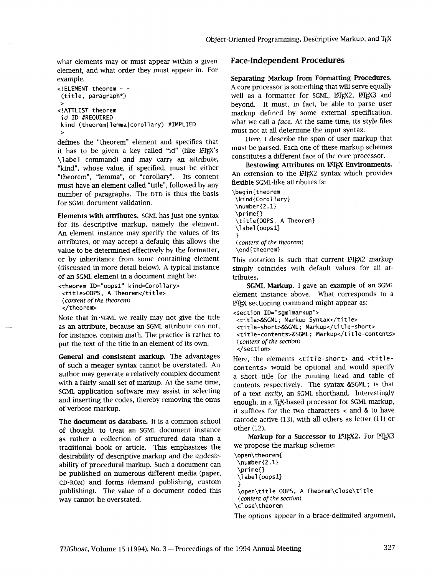what elements may or must appear within a given **Face-Independent Procedures**  element, and what order they must appear in. For example, **Separating Markup from Formatting Procedures.** 

```
<!ATTLIST theorem 
 kind (theorem | 1 emma | corol 1 ary) #IMPLIED
```
defmes the "theorem" element and specifies that it has to be given a key called "id" (like IATEX's \label command) and may carry an attribute, "kind", whose value, if specified, must be either "theorem", "lemma", or "corollary". Its content must have an element called "title", followed by any number of paragraphs. The DTD is thus the basis for SGML document validation.

**Elements with attributes.** SGML has just one syntax **\prime{)**  for its descriptive markup, namely the element. An element instance may specify the values of its attributes, or may accept a default; this allows the value to be determined effectively by the formatter, or by inheritance from some containing element (discussed in more detail below). A typical instance of an SGML element in a document might be:

```
itheorem ID="oopsl" ki nd=Coroll ary> 
 <ti tl e>OOPS, A Theorem</ti tl e> 
(content of the theorem) 
 </theorem>
```
Note that in.SGML we really may not give the title as an attribute, because an SGML attribute can not, for instance, contain math. The practice is rather to put the text of the title in an element of its own.

**General and consistent markup.** The advantages of such a meager syntax cannot be overstated. An author may generate a relatively complex document with a fairly small set of markup. At the same time, SGML application software may assist in selecting and inserting the codes, thereby removing the onus of verbose markup.

**The document as database.** It is a common school of thought to treat an SGML document instance as rather a collection of structured data than a traditional book or article. This emphasizes the desirability of descriptive markup and the undesirability of procedural markup. Such a document can be published on numerous different media (paper, CD-ROM) **and** forms (demand publishing, custom publishing). The value of a document coded this way cannot be overstated.

**<!ELEMENT theorem** - - A core processor is somethmg that wdl serve equally well as a formatter for SGML, *ET<sub>E</sub>X2*, *ET<sub>E</sub>X3* and beyond. It must, in fact, be able to parse user **ID #REQUIRED #THE FIRE FIRE THEOREM**<br> **id ID #REQUIRED**<br> **ID #REQUIRED ID #THE FIRE TO WE** what we call a *face*. At the same time, its style files must not at all determine the input syntax.

> Here, I describe the span of user markup that must be parsed. Each one of these markup schemes constitutes a different face of the core processor.

> **Bestowing Attributes on FIFX Environments.** An extension to the IAT<sub>F</sub>X2 syntax which provides flexible SGML-like attributes is:

```
\begin{theorem
\number{Z .1} 
 \label {oopsl} 
 ŀ
 (content of the theorem) 
 \end{theorem}
```
This notation is such that current IATFX2 markup simply coincides with default values for all attributes.

**SGML Markup.** I gave an example of an SGML element instance above. What corresponds to a LATEX sectioning command might appear as:

**<section ID="sgmlmarkup">** 

```
<title>&SGML; Markup Syntax</title> 
<ti tle-short>&SCML; Markup</ti tle-short> 
<title-contents>&SGML; Markup</title-contents> 
(content of the section) 
</section>
```
Here, the elements **<title-short>** and **<titlecontents>** would be optional and would specify a short title for the running head and table of contents respectively. The syntax &SGML; is that of a text **entity,** an SGML shorthand. Interestingly enough, in a TEX-based processor for SGML markup, it suffices for the two characters < and & to have catcode active (13), with all others as letter (11) or other (12).

**Markup for a Successor to L<sup>AT</sup>EX2.** For LATEX3 we propose the markup scheme:

```
\open\theorem{ 
 \number{Z.l) 
 \prime{} 
 \label {oopsl} 
 3 
\open\ti tl e OOPS, A Theorem\cl ose\ti tl e
(content of the section) 
\cl ose\theorem
```
The options appear in a brace-delimited argument,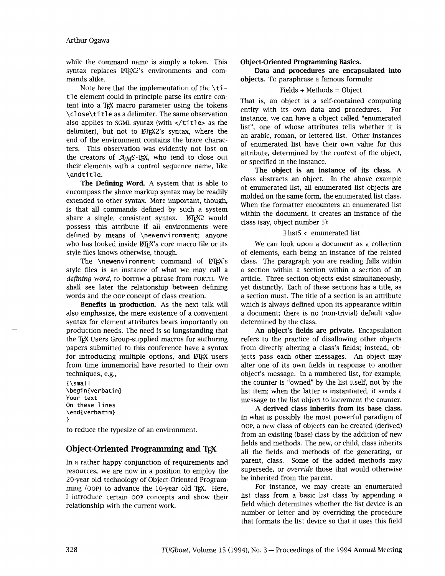while the command name is simply a token. This **Object-Oriented Programming Basics.** syntax replaces  $\text{KTr}X2$ 's environments and com- **Data and procedures are encapsulated into** mands alike. **objects.** To paraphrase a famous formula:

Note here that the implementation of the **\ti tl e** element could in principle parse its entire content into a T<sub>F</sub>X macro parameter using the tokens \close\title as a delimiter. The same observation also applies to SGML syntax (with  $\lt$ /title> as the delimiter), but not to LATEX2's syntax, where the end of the environment contains the brace characters. This observation was evidently not lost on the creators of  $A_{\mathcal{M}}S$ -T<sub>E</sub>X, who tend to close out their elements with a control sequence name, like **\endti t1 e.** 

**The Defining Word.** A system that is able to encompass the above markup syntax may be readily extended to other syntax. More important, though, is that all commands defined by such a system share a single, consistent syntax. LATEX2 would possess this attribute if all environments were defined by means of **\newenvi ronment;** anyone who has looked inside LATEX's core macro file or its style files knows otherwise, though.

The **\newenvironment** command of LATEX's style files is an instance of what we may call a *defining word,* to borrow a phrase from FORTH. We shall see later the relationship between defining words and the OOP concept of class creation.

**Benefits in production.** As the next talk will also emphasize, the mere existence of a convenient syntax for element attributes bears importantly on production needs. The need is so longstanding that the TEX Users Group-supplied macros for authoring papers submitted to this conference have a syntax for introducing multiple options, and LATEX users from time immemorial have resorted to their own techniques, e.g.,

**{\ma1** 1 **\begi n{verbatim} Your text On these lines**  \end{verbatim} f,

to reduce the typesize of an environment.

## **Object-Oriented Programming and T<sub>E</sub>X**

In a rather happy conjunction of requirements and resources, we are now in a position to employ the 20-year old technology of Object-Oriented Programming (OOP) to advance the 16-year old TEX. Here, I introduce certain oop concepts and show their relationship with the current work.

## $Fields + Methods = Object$

That is, an object is a self-contained computing entity with its own data and procedures. For instance, we can have a object called "enumerated list", one of whose attributes tells whether it is an arabic, roman, or lettered list. Other instances of enumerated list have their own value for this attribute, determined by the context of the object, or specified in the instance.

**The object is an instance of its class.** A class abstracts an object. In the above example of enumerated list, all enumerated list objects are molded on the same form, the enumerated list class. When the formatter encounters an enumerated list within the document, it creates an instance of the class (say, object number *5):* 

## $\exists$  list5  $\Leftarrow$  enumerated list

We can look upon a document as a collection of elements, each being an instance of the related class. The paragraph you are reading falls within a section within a section within a section of an article. Three section objects exist simultaneously, yet distinctly. Each of these sections has a title, as a section must. The title of a section is an attribute which is always defined upon its appearance within a document; there is no (non-trivial) default value determined by the class.

**An object's fields are private.** Encapsulation refers to the practice of disallowing other objects from directly altering a class's fields; instead, objects pass each other messages. An object may alter one of its own fields in response to another object's message. In a numbered list, for example, the counter is "owned" by the list itself, not by the list item; when the latter is instantiated, it sends a message to the list object to increment the counter.

**A derived class inherits from its base class.**  In what is possibly the most powerful paradigm of OOP, a new class of objects can be created (derived) from an existing (base) class by the addition of new fields and methods. The new, or child, class inherits all the fields and methods of the generating, or parent, class. Some of the added methods may supersede, or *override* those that would otherwise be inherited from the parent.

For instance, we may create an enumerated list class from a basic list class by appending a field which determines whether the list device is an number or letter and by overriding the procedure that formats the list device so that it uses this field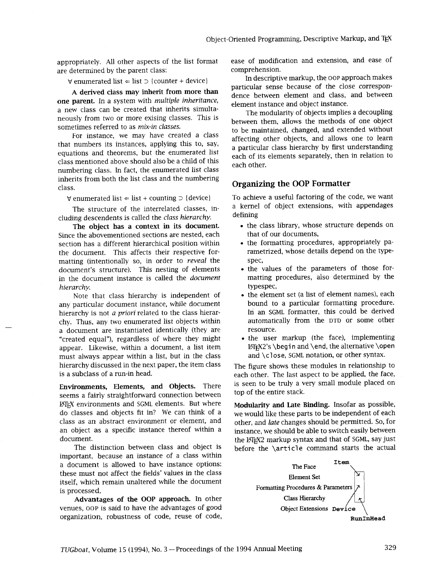are determined by the parent class:<br>  $\frac{1}{2}$  comprehension.<br>
In descriptive markup, the OOP approach makes

 $\forall$  enumerated list  $\Leftarrow$  list  $\supset$  {counter + device}

**one parent.** In a system with *multiple inheritance*, element instance and object instance.<br>
The modularity of objects implies a decoupling

equations and theorems, but the enumerated list<br>class mentioned above should also be a child of this<br>numbering class. In fact, the enumerated list class<br>each other. inherits from both the list class and the numbering milerits from both the fist class and the numbering<br>class. **Organizing the OOP Formatter** 

 $\forall$  enumerated list  $\Leftarrow$  list + counting  $\supset$  {device}

The structure of the interrelated classes, including descendents is called the *class hierarchy.* 

**The object has a context in its document.**  Since the abovementioned sections are nested, each section has a different hierarchical position within the document. This affects their respective formatting (intentionally so, in order to *reveal* the document's structure). This nesting of elements in the document instance is called the *document hierarchy.* 

Note that class hierarchy is independent of any particular document instance, while document hierarchy is not *a priori* related to the class hierarchy. Thus, any two enumerated list objects within a document are instantiated identically (they are "created equal"), regardless of where they might appear. Likewise, within a document, a list item must always appear within a list, but in the class hierarchy discussed in the next paper, the item class is a subclass of a run-in head.

**Environments, Elements, and Objects.** There seems a fairly straightforward connection between @TEX environments and **SGML** elements. But where do classes and objects fit in? We can think of a class as an abstract environment or element, and an object as a specific instance thereof within a document.

The distinction between class and object is important, because an instance of a class within a document is allowed to have instance options: these must not affect the fields' values in the class itself, which remain unaltered whle the document is processed.

**Advantages of the OOP approach.** In other venues, OOP is said to have the advantages of good organization, robustness of code, reuse of code,

appropriately. All other aspects of the list format ease of modification and extension, and ease of

particular sense because of the close correspon-**<sup>A</sup>derived 'lass may from more than** dence between element and class, and between

measury from two or more exising classes. This is<br>sometimes referred to as *mix-in classes*.<br>For instance, we may have created a class<br>the mean allows the methods of one object<br>to be maintained, changed, and extended witho

To achieve a useful factoring of the code, we want a kernel of object extensions, with appendages defining

- the class library, whose structure depends on that of our documents,
- the formatting procedures, appropriately parametrized, whose details depend on the typespec,
- the values of the parameters of those formatting procedures, also determined by the typespec,
- the element set (a list of element names), each bound to a particular formatting procedure. In an **SGML** formatter, this could be derived automatically from the DTD or some other resource.
- the user markup (the face), implementing LATG2's **\begin** and **\end,** the alternative **\open**  and **\close, SGML** notation, or other syntax.

The figure shows these modules in relationship to each other. The last aspect to be applied, the face, is seen to be truly a very small module placed on top of the entire stack.

**Modularity and Late Binding.** Insofar as possible, we would like these parts to be independent of each other, and *late* changes should be permitted. So, for instance, we should be able to switch easily between the LATG2 markup syntax and that of **SGML,** say just before the **\article** command starts the actual